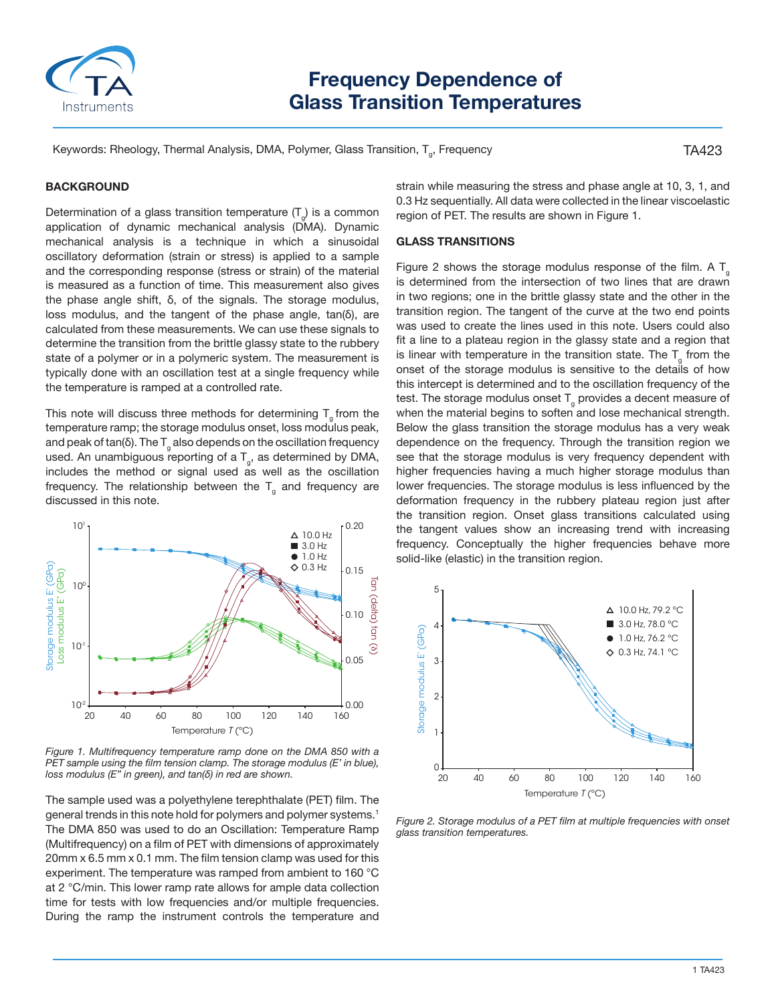

# **Frequency Dependence of Glass Transition Temperatures**

Keywords: Rheology, Thermal Analysis, DMA, Polymer, Glass Transition, T<sub>a</sub>, Frequency

TA423

## **BACKGROUND**

Determination of a glass transition temperature  $(T_{\alpha})$  is a common application of dynamic mechanical analysis (DMA). Dynamic mechanical analysis is a technique in which a sinusoidal oscillatory deformation (strain or stress) is applied to a sample and the corresponding response (stress or strain) of the material is measured as a function of time. This measurement also gives the phase angle shift, δ, of the signals. The storage modulus, loss modulus, and the tangent of the phase angle, tan(δ), are calculated from these measurements. We can use these signals to determine the transition from the brittle glassy state to the rubbery state of a polymer or in a polymeric system. The measurement is typically done with an oscillation test at a single frequency while the temperature is ramped at a controlled rate.

This note will discuss three methods for determining  $T_{g}$  from the temperature ramp; the storage modulus onset, loss modulus peak, and peak of tan(δ). The  $T<sub>a</sub>$  also depends on the oscillation frequency used. An unambiguous reporting of a  $T_{g}$ , as determined by DMA, includes the method or signal used as well as the oscillation frequency. The relationship between the  $T<sub>g</sub>$  and frequency are discussed in this note.



*Figure 1. Multifrequency temperature ramp done on the DMA 850 with a PET sample using the film tension clamp. The storage modulus (E' in blue), loss modulus (E" in green), and tan(δ) in red are shown.*

The sample used was a polyethylene terephthalate (PET) film. The general trends in this note hold for polymers and polymer systems.<sup>1</sup> The DMA 850 was used to do an Oscillation: Temperature Ramp (Multifrequency) on a film of PET with dimensions of approximately 20mm x 6.5 mm x 0.1 mm. The film tension clamp was used for this experiment. The temperature was ramped from ambient to 160 °C at 2 °C/min. This lower ramp rate allows for ample data collection time for tests with low frequencies and/or multiple frequencies. During the ramp the instrument controls the temperature and

strain while measuring the stress and phase angle at 10, 3, 1, and 0.3 Hz sequentially. All data were collected in the linear viscoelastic region of PET. The results are shown in Figure 1.

### **GLASS TRANSITIONS**

Figure 2 shows the storage modulus response of the film. A  $T_{g}$ is determined from the intersection of two lines that are drawn in two regions; one in the brittle glassy state and the other in the transition region. The tangent of the curve at the two end points was used to create the lines used in this note. Users could also fit a line to a plateau region in the glassy state and a region that is linear with temperature in the transition state. The  $T_{g}$  from the onset of the storage modulus is sensitive to the details of how this intercept is determined and to the oscillation frequency of the test. The storage modulus onset  $T_{g}$  provides a decent measure of when the material begins to soften and lose mechanical strength. Below the glass transition the storage modulus has a very weak dependence on the frequency. Through the transition region we see that the storage modulus is very frequency dependent with higher frequencies having a much higher storage modulus than lower frequencies. The storage modulus is less influenced by the deformation frequency in the rubbery plateau region just after the transition region. Onset glass transitions calculated using the tangent values show an increasing trend with increasing frequency. Conceptually the higher frequencies behave more solid-like (elastic) in the transition region.



*Figure 2. Storage modulus of a PET film at multiple frequencies with onset glass transition temperatures.*